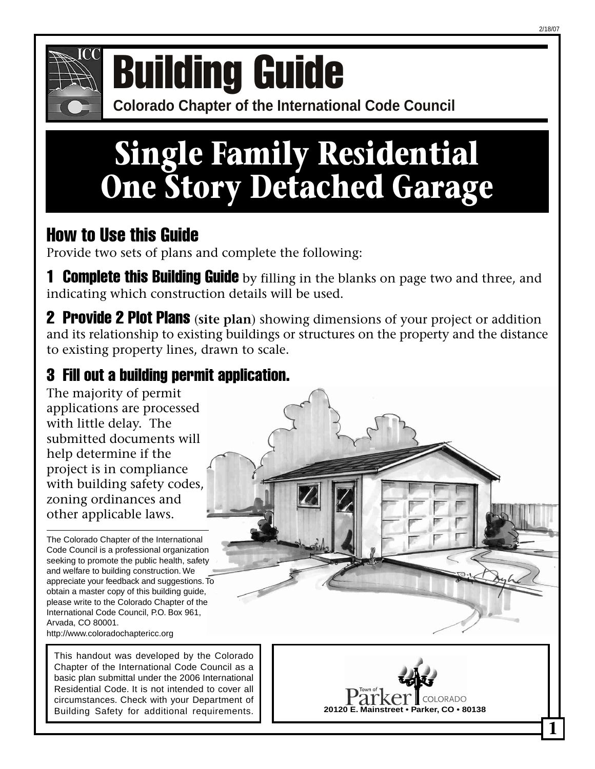

## **Colorado Cuide BUILDING GUILDING**<br>Colorado Chapter of the International Code Council

# **Single Family Residential One Story Detached Garage**

### How to Use this Guide

Provide two sets of plans and complete the following:

**1 Complete this Building Guide** by filling in the blanks on page two and three, and indicating which construction details will be used.

2 Provide 2 Plot Plans (**site plan**) showing dimensions of your project or addition and its relationship to existing buildings or structures on the property and the distance to existing property lines, drawn to scale.

### 3 Fill out a building permit application.

The majority of permit applications are processed with little delay. The submitted documents will help determine if the project is in compliance with building safety codes, zoning ordinances and other applicable laws.

The Colorado Chapter of the International Code Council is a professional organization seeking to promote the public health, safety and welfare to building construction. We appreciate your feedback and suggestions. To obtain a master copy of this building guide, please write to the Colorado Chapter of the International Code Council, P.O. Box 961, Arvada, CO 80001. http://www.coloradochaptericc.org

This handout was developed by the Colorado Chapter of the International Code Council as a basic plan submittal under the 2006 International Residential Code. It is not intended to cover all circumstances. Check with your Department of Building Safety for additional requirements.

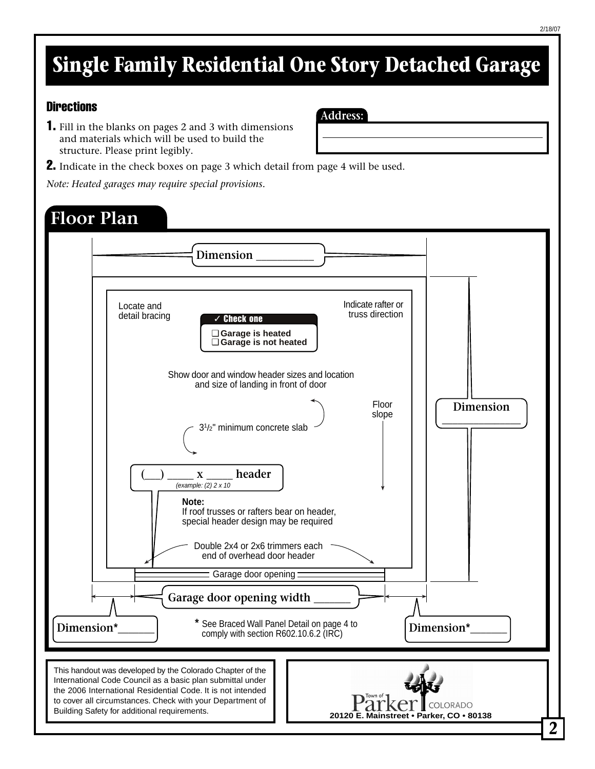## **Single Family Residential One Story Detached Garage**

**Address:**

#### **Directions**

- 1. Fill in the blanks on pages 2 and 3 with dimensions and materials which will be used to build the structure. Please print legibly.
- **2.** Indicate in the check boxes on page 3 which detail from page 4 will be used.

*Note: Heated garages may require special provisions.*

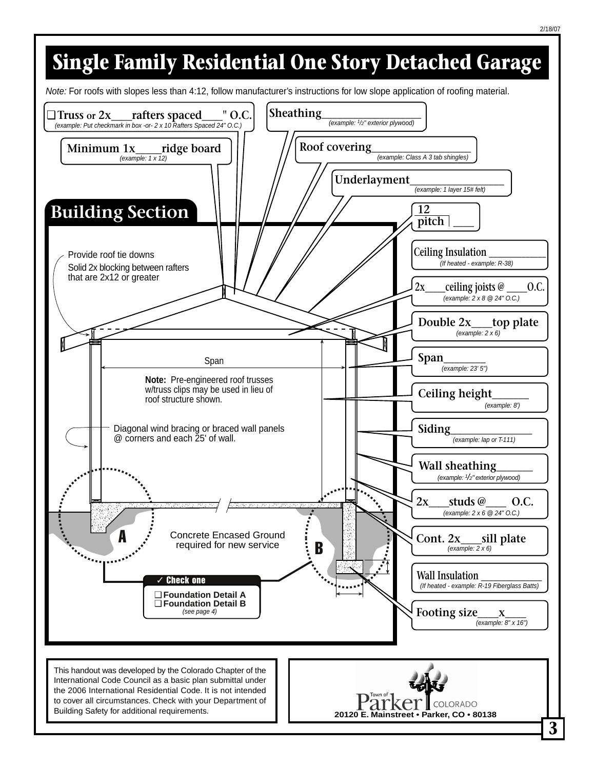